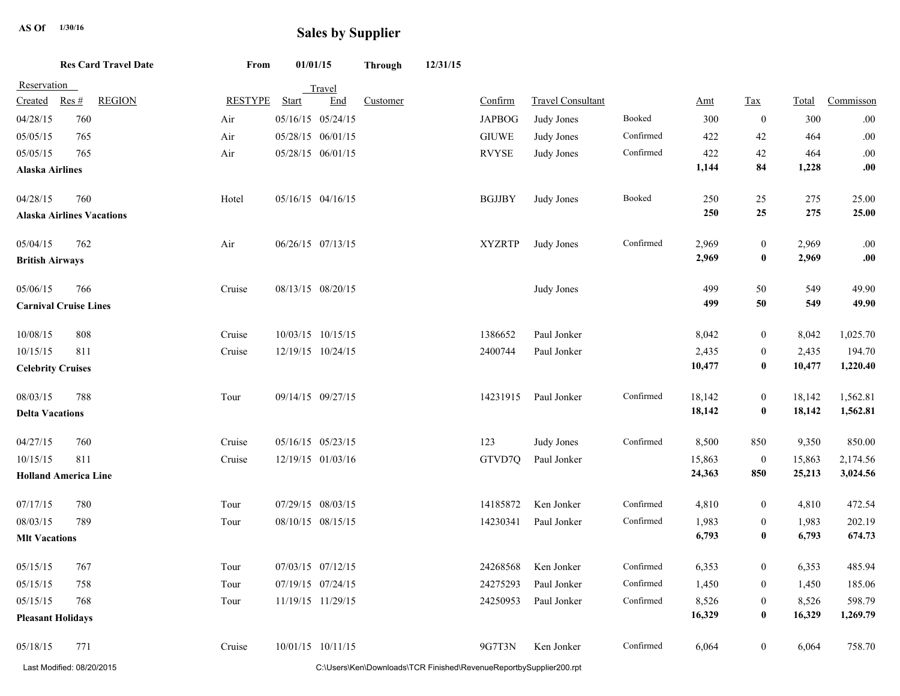## **Sales by Supplier AS Of**  $\overline{a}$  **Li**  $\overline{b}$  **Sales by Supplier**

**From 01/01/15 Through 12/31/15 Res Card Travel Date**

| Reservation                  |                                  |                |              | Travel            |                                                                    |               |                          |           |        |                  |        |           |
|------------------------------|----------------------------------|----------------|--------------|-------------------|--------------------------------------------------------------------|---------------|--------------------------|-----------|--------|------------------|--------|-----------|
| Created                      | <b>REGION</b><br>Res#            | <b>RESTYPE</b> | <b>Start</b> | End               | Customer                                                           | Confirm       | <b>Travel Consultant</b> |           | Amt    | <b>Tax</b>       | Total  | Commisson |
| 04/28/15                     | 760                              | Air            |              | 05/16/15 05/24/15 |                                                                    | <b>JAPBOG</b> | Judy Jones               | Booked    | 300    | $\mathbf{0}$     | 300    | $.00\,$   |
| 05/05/15                     | 765                              | Air            |              | 05/28/15 06/01/15 |                                                                    | $\rm GIUWE$   | Judy Jones               | Confirmed | 422    | 42               | 464    | $.00\,$   |
| 05/05/15                     | 765                              | Air            |              | 05/28/15 06/01/15 |                                                                    | <b>RVYSE</b>  | Judy Jones               | Confirmed | 422    | $42\,$           | 464    | $.00\,$   |
| <b>Alaska Airlines</b>       |                                  |                |              |                   |                                                                    |               |                          |           | 1,144  | 84               | 1,228  | .00       |
| 04/28/15                     | 760                              | Hotel          |              | 05/16/15 04/16/15 |                                                                    | <b>BGJJBY</b> | Judy Jones               | Booked    | 250    | 25               | 275    | 25.00     |
|                              | <b>Alaska Airlines Vacations</b> |                |              |                   |                                                                    |               |                          |           | 250    | 25               | 275    | 25.00     |
| 05/04/15                     | 762                              | Air            |              | 06/26/15 07/13/15 |                                                                    | <b>XYZRTP</b> | Judy Jones               | Confirmed | 2,969  | $\mathbf{0}$     | 2,969  | .00       |
| <b>British Airways</b>       |                                  |                |              |                   |                                                                    |               |                          |           | 2,969  | $\bf{0}$         | 2,969  | .00       |
| 05/06/15                     | 766                              | Cruise         |              | 08/13/15 08/20/15 |                                                                    |               | Judy Jones               |           | 499    | 50               | 549    | 49.90     |
| <b>Carnival Cruise Lines</b> |                                  |                |              |                   |                                                                    |               |                          |           | 499    | 50               | 549    | 49.90     |
| 10/08/15                     | 808                              | Cruise         |              | 10/03/15 10/15/15 |                                                                    | 1386652       | Paul Jonker              |           | 8,042  | $\bf{0}$         | 8,042  | 1,025.70  |
| 10/15/15                     | 811                              | Cruise         |              | 12/19/15 10/24/15 |                                                                    | 2400744       | Paul Jonker              |           | 2,435  | $\mathbf{0}$     | 2,435  | 194.70    |
| <b>Celebrity Cruises</b>     |                                  |                |              |                   |                                                                    |               |                          |           | 10,477 | $\bf{0}$         | 10,477 | 1,220.40  |
| 08/03/15                     | 788                              | Tour           |              | 09/14/15 09/27/15 |                                                                    | 14231915      | Paul Jonker              | Confirmed | 18,142 | $\boldsymbol{0}$ | 18,142 | 1,562.81  |
| <b>Delta Vacations</b>       |                                  |                |              |                   |                                                                    |               |                          |           | 18,142 | $\bf{0}$         | 18,142 | 1,562.81  |
| 04/27/15                     | 760                              | Cruise         |              | 05/16/15 05/23/15 |                                                                    | 123           | Judy Jones               | Confirmed | 8,500  | 850              | 9,350  | 850.00    |
| 10/15/15                     | 811                              | Cruise         |              | 12/19/15 01/03/16 |                                                                    | GTVD70        | Paul Jonker              |           | 15,863 | $\mathbf{0}$     | 15,863 | 2,174.56  |
| <b>Holland America Line</b>  |                                  |                |              |                   |                                                                    |               |                          |           | 24,363 | 850              | 25,213 | 3,024.56  |
| 07/17/15                     | 780                              | Tour           |              | 07/29/15 08/03/15 |                                                                    | 14185872      | Ken Jonker               | Confirmed | 4,810  | $\boldsymbol{0}$ | 4,810  | 472.54    |
| 08/03/15                     | 789                              | Tour           |              | 08/10/15 08/15/15 |                                                                    | 14230341      | Paul Jonker              | Confirmed | 1,983  | $\mathbf{0}$     | 1,983  | 202.19    |
| <b>MIt Vacations</b>         |                                  |                |              |                   |                                                                    |               |                          |           | 6,793  | $\bf{0}$         | 6,793  | 674.73    |
| 05/15/15                     | 767                              | Tour           |              | 07/03/15 07/12/15 |                                                                    | 24268568      | Ken Jonker               | Confirmed | 6,353  | $\mathbf{0}$     | 6,353  | 485.94    |
| 05/15/15                     | 758                              | Tour           |              | 07/19/15 07/24/15 |                                                                    | 24275293      | Paul Jonker              | Confirmed | 1,450  | $\overline{0}$   | 1,450  | 185.06    |
| 05/15/15                     | 768                              | Tour           |              | 11/19/15 11/29/15 |                                                                    | 24250953      | Paul Jonker              | Confirmed | 8,526  | $\overline{0}$   | 8,526  | 598.79    |
| <b>Pleasant Holidays</b>     |                                  |                |              |                   |                                                                    |               |                          |           | 16,329 | $\bf{0}$         | 16,329 | 1,269.79  |
| 05/18/15                     | 771                              | Cruise         |              | 10/01/15 10/11/15 |                                                                    | 9G7T3N        | Ken Jonker               | Confirmed | 6,064  | $\mathbf{0}$     | 6,064  | 758.70    |
|                              | Last Modified: 08/20/2015        |                |              |                   | C:\Users\Ken\Downloads\TCR Finished\RevenueReportbySupplier200.rpt |               |                          |           |        |                  |        |           |